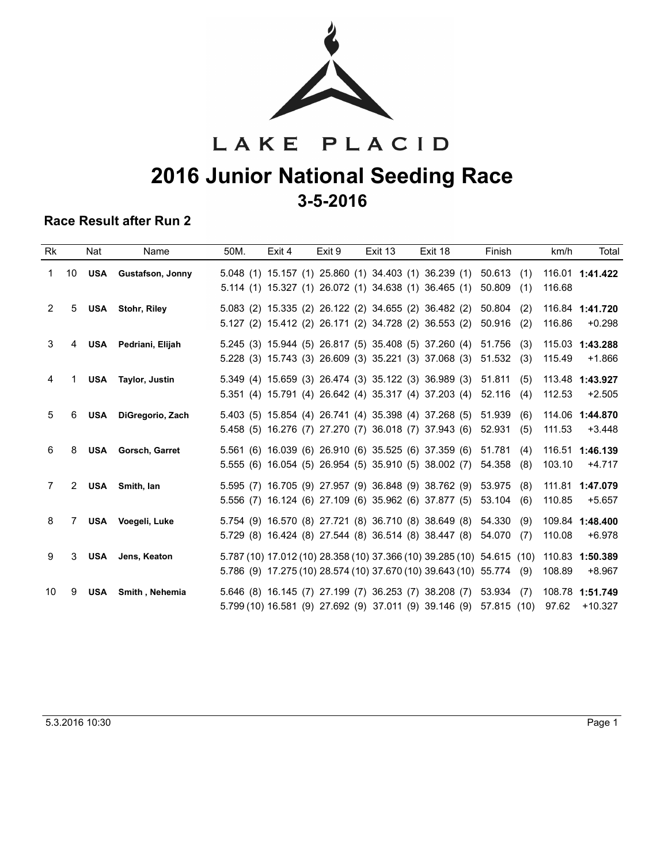

## LAKE PLACID **2016 Junior National Seeding Race 3-5-2016**

### **Race Result after Run 2**

| Rk             |    | Nat        | Name                      | 50M. | Exit 4 | Exit 9 | Exit 13 | Exit 18                                                                                                                                        | Finish                         | Total<br>km/h                            |
|----------------|----|------------|---------------------------|------|--------|--------|---------|------------------------------------------------------------------------------------------------------------------------------------------------|--------------------------------|------------------------------------------|
| 1              | 10 | USA        | <b>Gustafson, Jonny</b>   |      |        |        |         | 5.048 (1) 15.157 (1) 25.860 (1) 34.403 (1) 36.239 (1)<br>5.114 (1) 15.327 (1) 26.072 (1) 34.638 (1) 36.465 (1)                                 | 50.613<br>(1)<br>50.809<br>(1) | 116.01 1:41.422<br>116.68                |
| $\overline{2}$ | 5  |            | <b>USA</b> Stohr, Riley   |      |        |        |         | 5.083 (2) 15.335 (2) 26.122 (2) 34.655 (2) 36.482 (2)<br>5.127 (2) 15.412 (2) 26.171 (2) 34.728 (2) 36.553 (2)                                 | 50.804<br>(2)<br>50.916<br>(2) | 116.84 1:41.720<br>116.86<br>$+0.298$    |
| 3              | 4  | <b>USA</b> | Pedriani, Elijah          |      |        |        |         | 5.245 (3) 15.944 (5) 26.817 (5) 35.408 (5) 37.260 (4)<br>5.228 (3) 15.743 (3) 26.609 (3) 35.221 (3) 37.068 (3)                                 | 51.756<br>(3)<br>51.532<br>(3) | 115.03 1:43.288<br>115.49<br>$+1.866$    |
| 4              | 1  |            | USA Taylor, Justin        |      |        |        |         | 5.349 (4) 15.659 (3) 26.474 (3) 35.122 (3) 36.989 (3)<br>5.351 (4) 15.791 (4) 26.642 (4) 35.317 (4) 37.203 (4)                                 | 51.811<br>(5)<br>52.116<br>(4) | 113.48 1:43.927<br>112.53<br>$+2.505$    |
| 5              | 6  | <b>USA</b> | DiGregorio, Zach          |      |        |        |         | 5.403 (5) 15.854 (4) 26.741 (4) 35.398 (4) 37.268 (5)<br>5.458 (5) 16.276 (7) 27.270 (7) 36.018 (7) 37.943 (6)                                 | 51.939<br>(6)<br>52.931<br>(5) | 114.06 1:44.870<br>111.53<br>$+3.448$    |
| 6              | 8  |            | <b>USA</b> Gorsch, Garret |      |        |        |         | 5.561 (6) 16.039 (6) 26.910 (6) 35.525 (6) 37.359 (6)<br>5.555 (6) 16.054 (5) 26.954 (5) 35.910 (5) 38.002 (7)                                 | 51.781<br>(4)<br>54.358<br>(8) | 116.51<br>1:46.139<br>103.10<br>$+4.717$ |
| 7              |    |            | 2 USA Smith, Ian          |      |        |        |         | 5.595 (7) 16.705 (9) 27.957 (9) 36.848 (9) 38.762 (9)<br>5.556 (7) 16.124 (6) 27.109 (6) 35.962 (6) 37.877 (5)                                 | 53.975<br>(8)<br>53.104<br>(6) | 1:47.079<br>111.81<br>110.85<br>$+5.657$ |
| 8              | 7  |            | USA Voegeli, Luke         |      |        |        |         | 5.754 (9) 16.570 (8) 27.721 (8) 36.710 (8) 38.649 (8)<br>5.729 (8) 16.424 (8) 27.544 (8) 36.514 (8) 38.447 (8)                                 | 54.330<br>(9)<br>54.070<br>(7) | 109.84 1:48.400<br>110.08<br>$+6.978$    |
| 9              | 3  | USA        | Jens, Keaton              |      |        |        |         | 5.787 (10) 17.012 (10) 28.358 (10) 37.366 (10) 39.285 (10) 54.615 (10)<br>5.786 (9) 17.275 (10) 28.574 (10) 37.670 (10) 39.643 (10) 55.774 (9) |                                | 110.83<br>1:50.389<br>108.89<br>$+8.967$ |
| 10             | 9  |            | USA Smith, Nehemia        |      |        |        |         | 5.646 (8) 16.145 (7) 27.199 (7) 36.253 (7) 38.208 (7)<br>5.799 (10) 16.581 (9) 27.692 (9) 37.011 (9) 39.146 (9)                                | 53.934<br>(7)<br>57.815 (10)   | 108.78 1:51.749<br>97.62<br>$+10.327$    |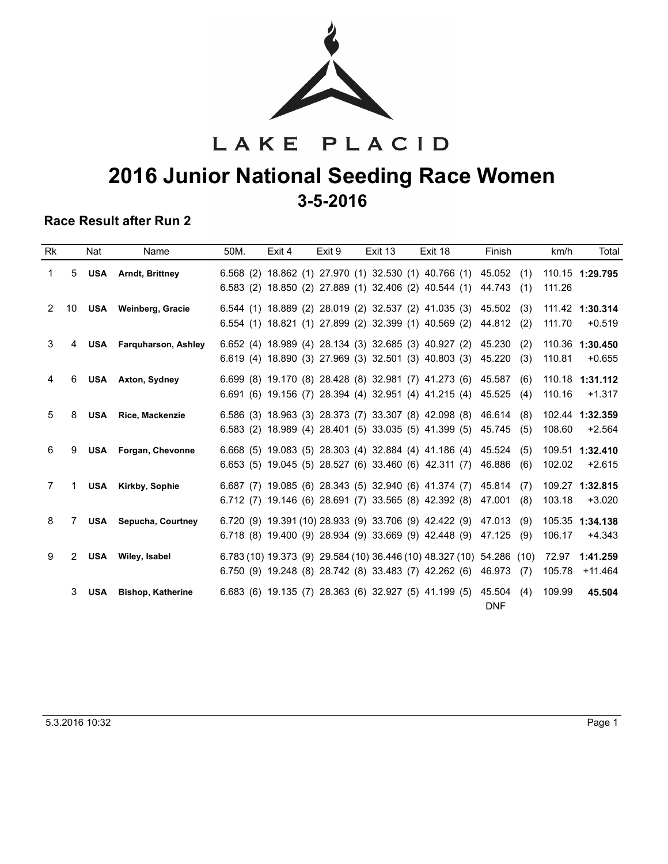

LAKE PLACID **2016 Junior National Seeding Race Women 3-5-2016**

#### **Race Result after Run 2**

| <b>Rk</b>      |                | Nat        | Name                           | 50M. | Exit 4 | Exit 9 | Exit 13 | Exit 18                                                                                                                     | Finish                         | km/h<br>Total                            |
|----------------|----------------|------------|--------------------------------|------|--------|--------|---------|-----------------------------------------------------------------------------------------------------------------------------|--------------------------------|------------------------------------------|
| 1              | 5              | <b>USA</b> | Arndt, Brittney                |      |        |        |         | 6.568 (2) 18.862 (1) 27.970 (1) 32.530 (1) 40.766 (1)<br>6.583 (2) 18.850 (2) 27.889 (1) 32.406 (2) 40.544 (1)              | 45.052<br>(1)<br>44.743<br>(1) | 110.15 1:29.795<br>111.26                |
| $\overline{2}$ | 10             |            | USA Weinberg, Gracie           |      |        |        |         | 6.544 (1) 18.889 (2) 28.019 (2) 32.537 (2) 41.035 (3)<br>6.554 (1) 18.821 (1) 27.899 (2) 32.399 (1) 40.569 (2)              | 45.502<br>(3)<br>44.812<br>(2) | 111.42 1:30.314<br>$+0.519$<br>111.70    |
| 3              | 4              |            | <b>USA</b> Farguharson, Ashley |      |        |        |         | 6.652 (4) 18.989 (4) 28.134 (3) 32.685 (3) 40.927 (2)<br>6.619 (4) 18.890 (3) 27.969 (3) 32.501 (3) 40.803 (3)              | 45.230<br>(2)<br>45.220<br>(3) | 110.36<br>1:30.450<br>110.81<br>$+0.655$ |
| 4              | 6              |            | <b>USA</b> Axton, Sydney       |      |        |        |         | 6.699 (8) 19.170 (8) 28.428 (8) 32.981 (7) 41.273 (6)<br>6.691 (6) 19.156 (7) 28.394 (4) 32.951 (4) 41.215 (4)              | 45.587<br>(6)<br>45.525<br>(4) | 110.18<br>1:31.112<br>110.16<br>$+1.317$ |
| 5              | 8              | <b>USA</b> | <b>Rice, Mackenzie</b>         |      |        |        |         | 6.586 (3) 18.963 (3) 28.373 (7) 33.307 (8) 42.098 (8)<br>6.583 (2) 18.989 (4) 28.401 (5) 33.035 (5) 41.399 (5)              | 46.614<br>(8)<br>45.745<br>(5) | 102.44 1:32.359<br>108.60<br>$+2.564$    |
| 6              | 9              |            | USA Forgan, Chevonne           |      |        |        |         | 6.668 (5) 19.083 (5) 28.303 (4) 32.884 (4) 41.186 (4)<br>6.653 (5) 19.045 (5) 28.527 (6) 33.460 (6) 42.311 (7)              | 45.524<br>(5)<br>46.886<br>(6) | 109.51 1:32.410<br>102.02<br>$+2.615$    |
| 7              | 1              |            | <b>USA</b> Kirkby, Sophie      |      |        |        |         | 6.687 (7) 19.085 (6) 28.343 (5) 32.940 (6) 41.374 (7)<br>6.712 (7) 19.146 (6) 28.691 (7) 33.565 (8) 42.392 (8)              | 45.814<br>(7)<br>(8)<br>47.001 | 109.27 1:32.815<br>$+3.020$<br>103.18    |
| 8              | 7              | <b>USA</b> | Sepucha, Courtney              |      |        |        |         | 6.720 (9) 19.391 (10) 28.933 (9) 33.706 (9) 42.422 (9)<br>6.718 (8) 19.400 (9) 28.934 (9) 33.669 (9) 42.448 (9)             | 47.013<br>(9)<br>(9)<br>47.125 | 105.35<br>1:34.138<br>106.17<br>$+4.343$ |
| 9              | $\overline{2}$ |            | USA Wiley, Isabel              |      |        |        |         | 6.783 (10) 19.373 (9) 29.584 (10) 36.446 (10) 48.327 (10) 54.286<br>$6.750$ (9) 19.248 (8) 28.742 (8) 33.483 (7) 42.262 (6) | (10)<br>46.973<br>(7)          | 72.97<br>1:41.259<br>105.78<br>$+11.464$ |
|                | 3              | <b>USA</b> | <b>Bishop, Katherine</b>       |      |        |        |         | 6.683 (6) 19.135 (7) 28.363 (6) 32.927 (5) 41.199 (5)                                                                       | 45.504<br>(4)<br><b>DNF</b>    | 109.99<br>45.504                         |